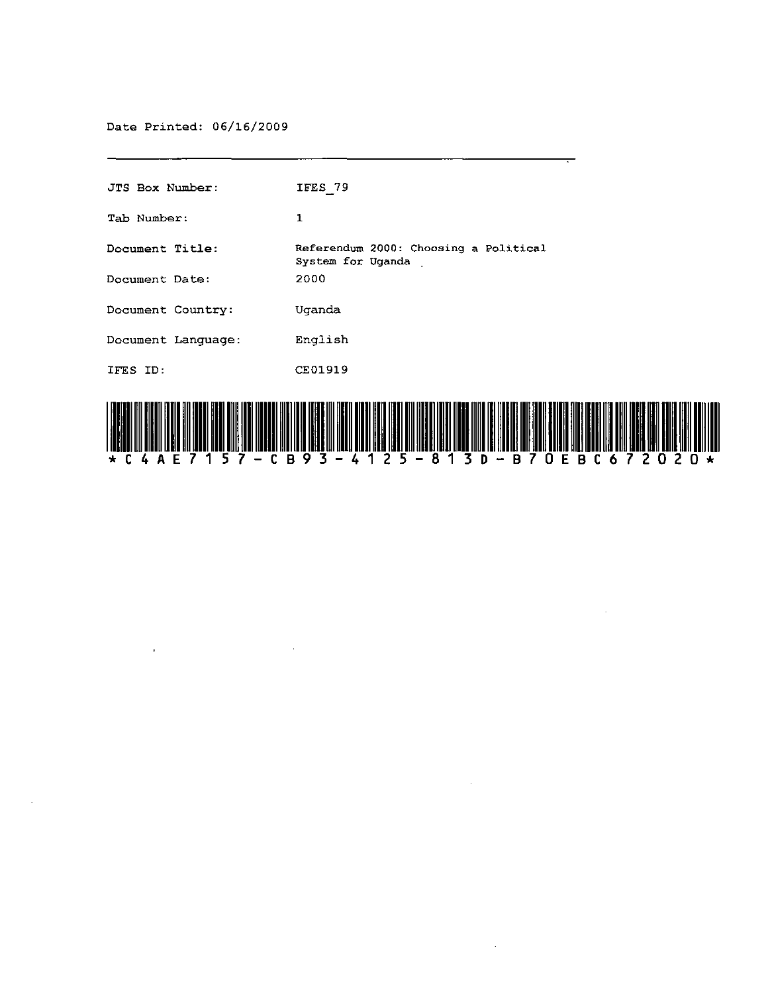Date Printed: 06/16/2009

 $\mathbf{r}$ 

 $\sim 10^7$ 

| JTS Box Number:    | IFES 79                                                    |
|--------------------|------------------------------------------------------------|
| Tab Number:        | 1                                                          |
| Document Title:    | Referendum 2000: Choosing a Political<br>System for Uganda |
| Document Date:     | 2000                                                       |
| Document Country:  | Uganda                                                     |
| Document Language: | English                                                    |
| IFES ID:           | CE01919                                                    |
|                    |                                                            |



 $\sim$ 

 $\bar{z}$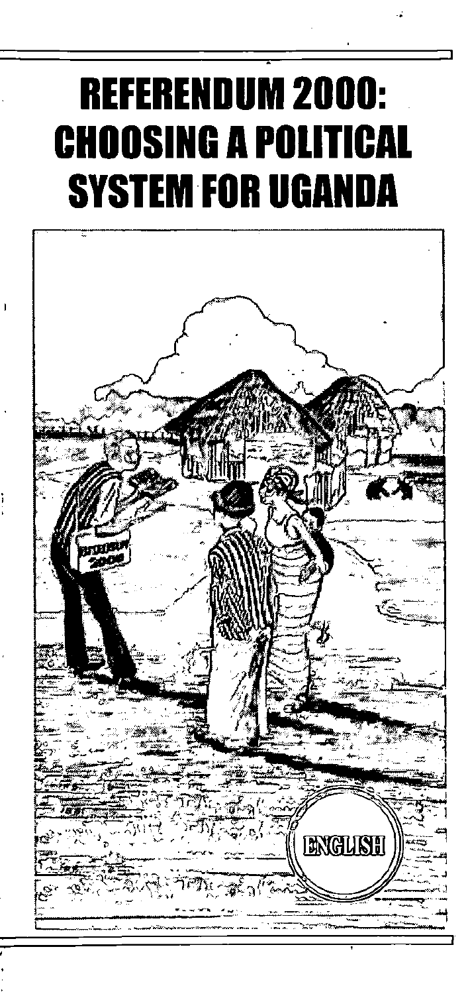# . **REFERENDUM 2000: CHOOSING A POliTICAL**  SYSTEM FOR **UGANDA**

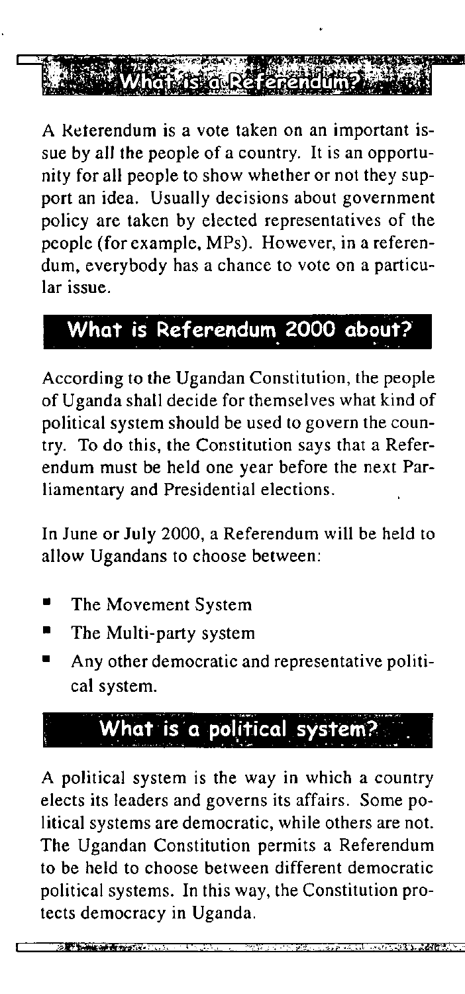

A Keterendum is a vote taken on an important issue by all the people of a country. It is an opportunity for all people to show whether or not they support an idea. Usually decisions about government policy are taken by elected representatives of the people (for example, MPs). However, in a referendum, everybody has a chance to vote on a particular issue.

### **What is Referendum 2000 about?**

According to the Ugandan Constitution, the people of Uganda shall decide for themselves what kind of political system should be used to govern the country. To do this, the Constitution says that a Referendum must be held one year before the next Parliamentary and Presidential elections.

In June or July 2000, a Referendum will be held to allow Ugandans to choose between:

- The Movement System
- The Multi-party system

**Contract Cash and Providence** 

• Any other democratic and representative political system.

## What is a political system?

A political system is the way in which a country elects its leaders and governs its affairs. Some political systems are democratic, while others are not. The Ugandan Constitution permits a Referendum to be held to choose between different democratic political systems. In this way, the Constitution protects democracy in Uganda.

"c '"i .'; •• i "c', ';I\_n.;#!!t~ .. ,-.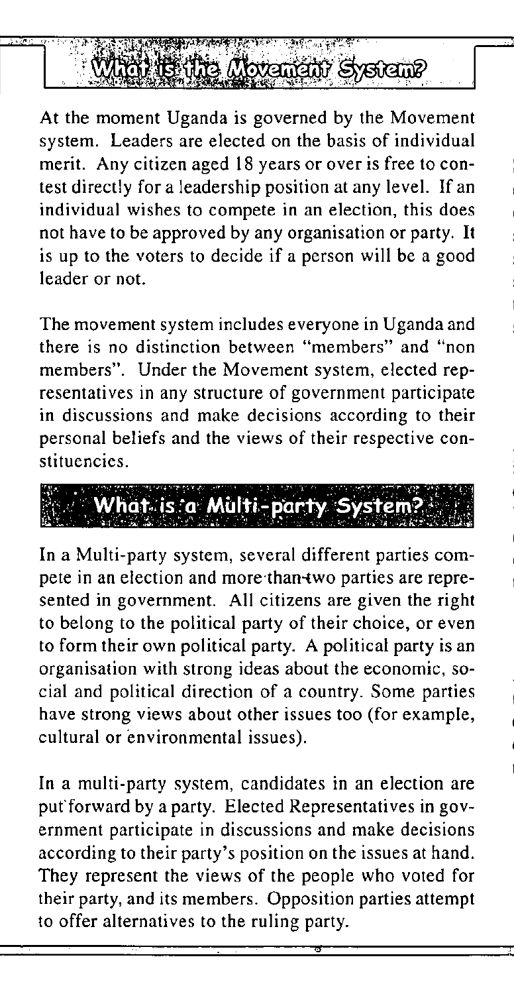

At the moment Uganda is governed by the Movement system. Leaders are elected on the basis of individual merit. Any citizen aged 18 years or over is free to contest directly for a leadership position at any level. If an individual wishes to compete in an election, this does not have to be approved by any organisation or party. It is up to the voters to decide if a person will be a good leader or not.

The movement system includes everyone in Uganda and **there is no distinction between "members" and "non**  members". Under the Movement system, elected representatives in any structure of government participate in discussions and make decisions according to their personal beliefs and the views of their respective constituencies.



In a Multi-party system, several different parties compete in an election and more than-two parties are represented in government. All citizens are given the right to belong to the political party of their choice, or even to form their own political party. A political party is an organisation with strong ideas about the economic, social and political direction of a country. Some parties have strong views about other issues too (for example, cultural or environmental issues).

In a multi-party system, candidates in an election are put forward by a party. Elected Representatives in government participate in discussions and make decisions according to their party's position on the issues at hand. They represent the views of the people who voted for their party, and its members. Opposition parties attempt to offer alternatives to the ruling party.

•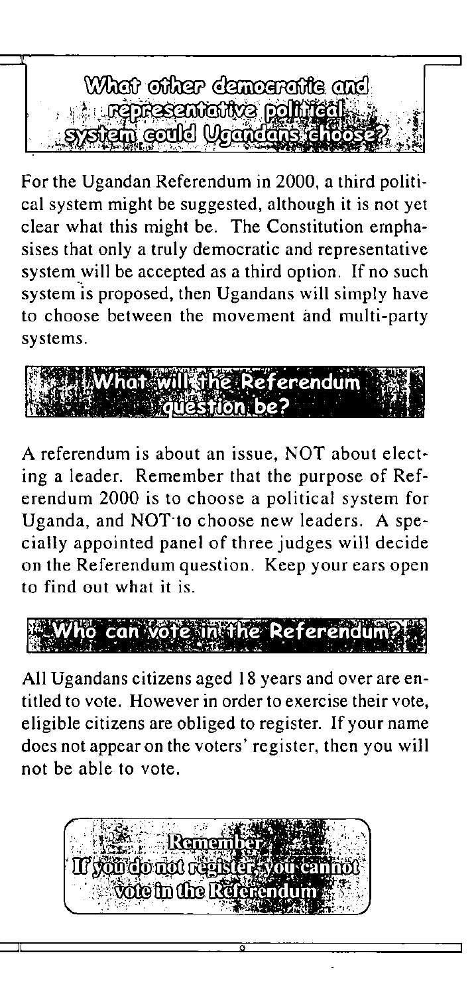

For the Ugandan Referendum in 2000, a third political system might be suggested, although it is not yet clear what this might be. The Constitution emphasises that only a truly democratic and representative systemwill be accepted as a third option. **If** no such system is proposed, then Ugandans will simply have to choose between the movement and multi-party systems.



A referendum is about an issue, NOT about electing a leader. Remember that the purpose of Referendum 2000 is to choose a political system for Uganda, and NOT' to choose new leaders. A specially appointed panel of three judges will decide on the Referendum question. Keep your ears open to find out what it is.



All Ugandans citizens aged 18 years and over are entitled to vote. However in order to exercise their vote, eligible citizens are obliged to register. **If** your name does not appear on the voters' register, then you will not be able to vote.



9

**::::J**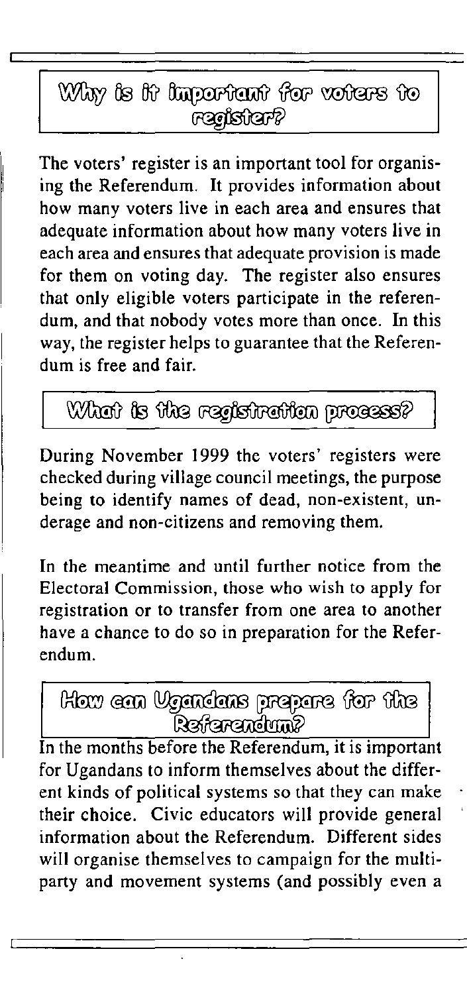### Why is it important for voters to

The voters' register is an important tool for organising the Referendum. It provides information about how many voters live in each area and ensures that adequate information about how many voters live in each area and ensures that adequate provision is made for them on voting day. The register also ensures that only eligible voters participate in the referendum, and that nobody votes more than once. In this way, the register helps to guarantee that the Referendum is free and fair.

### What is the registration process?

During November 1999 the voters' registers were checked during village council meetings, the purpose being to identify names of dead, non-existent, underage and non-citizens and removing them.

In the meantime and until further notice from the Electoral Commission, those who wish to apply for registration or to transfer from one area to another have a chance to do so in preparation for the Referendum.

shit with energeng and home world <u>Referendum?</u>

In the months before the Referendum, it is important for Ugandans to inform themselves about the different kinds of political systems so that they can make their choice. Civic educators will provide general information about the Referendum. Different sides will organise themselves to campaign for the multiparty and movement systems (and possibly even a